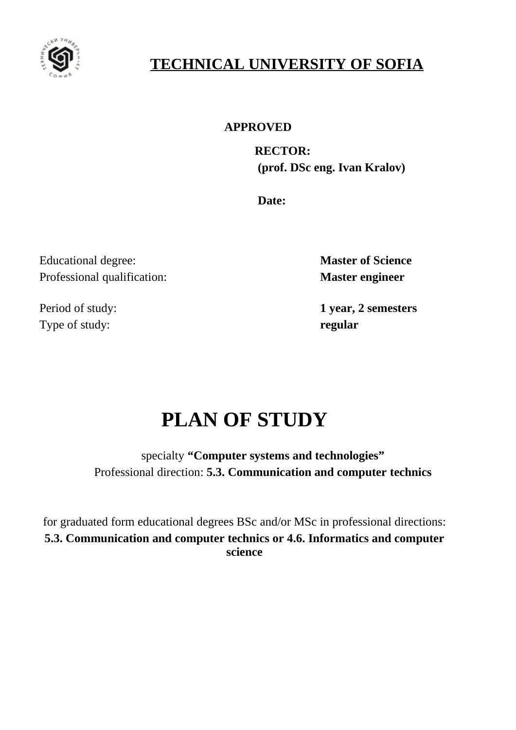

# **TECHNICAL UNIVERSITY OF SOFIA**

# **APPROVED**

 **RECTOR: (prof. DSc eng. Ivan Kralov)**

**Date:**

Educational degree: **Master of Science** Professional qualification: **Master engineer**

Type of study: **regular**

Period of study: **1 year, 2 semesters**

# **PLAN OF STUDY**

specialty **"Computer systems and technologies"** Professional direction: **5.3. Communication and computer technics**

for graduated form educational degrees BSc and/or MSc in professional directions: **5.3. Communication and computer technics or 4.6. Informatics and computer science**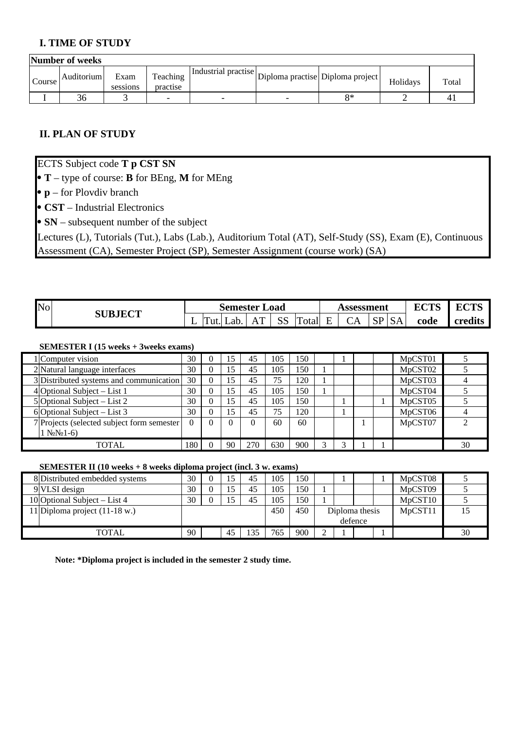# **I. TIME OF STUDY**

|        | Number of weeks |                  |                      |                                                             |                          |    |          |       |  |  |  |  |  |  |
|--------|-----------------|------------------|----------------------|-------------------------------------------------------------|--------------------------|----|----------|-------|--|--|--|--|--|--|
| Course | Auditorium      | Exam<br>sessions | Teaching<br>practise | <b>Industrial practise</b> Diploma practise Diploma project |                          |    | Holidays | Total |  |  |  |  |  |  |
|        | 36              |                  | -                    | -                                                           | $\overline{\phantom{0}}$ | я× |          |       |  |  |  |  |  |  |

# **II. PLAN OF STUDY**

ECTS Subject code **T p CST SN**

**T** – type of course: **B** for BEng, **M** for MEng

**p** – for Plovdiv branch

**CST** – Industrial Electronics

**SN** – subsequent number of the subject

Lectures (L), Tutorials (Tut.), Labs (Lab.), Auditorium Total (AT), Self-Study (SS), Exam (E), Continuous Assessment (CA), Semester Project (SP), Semester Assignment (course work) (SA)

| $\mathbb{N}$ o | <b>SUBJECT</b> | ∟oad<br>Semester |           |      |                   |                      |             |     | Assessment |                               |           | $F$ $C$ $F$ $C$ | $\Gamma$ |
|----------------|----------------|------------------|-----------|------|-------------------|----------------------|-------------|-----|------------|-------------------------------|-----------|-----------------|----------|
|                |                |                  | m<br>'ut. | ab a | $\Lambda$ T<br>ΩĪ | $\sim$ $\sim$<br>ے ب | Im<br>`otal | . . | CA         | $\mathsf{C} \mathsf{D}$<br>πب | <b>SA</b> | code            | credits  |

#### **SEMESTER I (15 weeks + 3weeks exams)**

|                                        | 1 Computer vision                           | 30  |          | 15 | 45  | 105 | 150 |  |  | MpCST01 |    |
|----------------------------------------|---------------------------------------------|-----|----------|----|-----|-----|-----|--|--|---------|----|
|                                        | 2 Natural language interfaces               | 30  | 0        | 15 | 45  | 105 | 150 |  |  | MpCST02 |    |
|                                        | 3 Distributed systems and communication     | 30  | $\theta$ | 15 | 45  | 75  | 120 |  |  | MpCST03 |    |
|                                        | 4 Optional Subject – List 1                 | 30  | $\Omega$ | 15 | 45  | 105 | 150 |  |  | MpCST04 |    |
|                                        | 5 Optional Subject $-$ List 2               | 30  | 0        | 15 | 45  | 105 | 150 |  |  | MpCST05 |    |
|                                        | $6$ Optional Subject – List 3               | 30  | 0        | 15 | 45  | 75  | 120 |  |  | MpCST06 |    |
|                                        | 7 Projects (selected subject form semester) | 0   |          |    |     | 60  | 60  |  |  | MpCST07 |    |
| $1$ N <sub>2</sub> N <sub>2</sub> 1-6) |                                             |     |          |    |     |     |     |  |  |         |    |
|                                        | TOTAL                                       | 180 |          | 90 | 270 | 630 | 900 |  |  |         | 30 |

#### **SEMESTER II (10 weeks + 8 weeks diploma project (incl. 3 w. exams)**

| 8 Distributed embedded systems          | 30 | 15  |    | 105 | 150 |  |                | MpCST08 |    |
|-----------------------------------------|----|-----|----|-----|-----|--|----------------|---------|----|
| 9 VLSI design                           | 30 | ל 1 | 45 | 105 | 150 |  |                | MpCST09 |    |
| 10 Optional Subject $-$ List 4          | 30 | 15  | 45 | 105 | 150 |  |                | MpCST10 |    |
| 11 Diploma project $(11-18 \text{ w.})$ |    |     |    | 450 | 450 |  | Diploma thesis | MpCST11 |    |
|                                         |    |     |    |     |     |  | defence        |         |    |
| <b>TOTAL</b>                            | 90 | 45  |    | 765 | 900 |  |                |         | 30 |

**Note: \*Diploma project is included in the semester 2 study time.**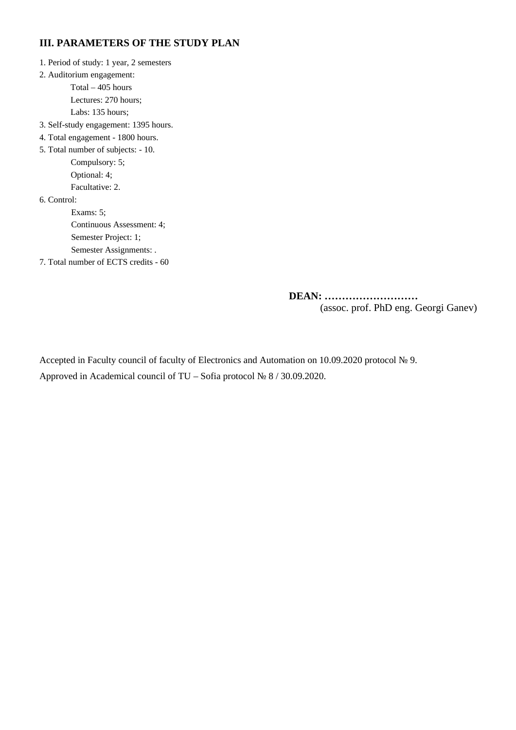# **III. PARAMETERS OF THE STUDY PLAN**

1. Period of study: 1 year, 2 semesters

2. Auditorium engagement:

Total – 405 hours

Lectures: 270 hours;

Labs: 135 hours;

- 3. Self-study engagement: 1395 hours.
- 4. Total engagement 1800 hours.

5. Total number of subjects: - 10. Compulsory: 5; Optional: 4;

Facultative: 2.

6. Control:

Exams: 5; Continuous Assessment: 4; Semester Project: 1; Semester Assignments: .

7. Total number of ECTS credits - 60

 **DEAN: ………………………** (assoc. prof. PhD eng. Georgi Ganev)

Accepted in Faculty council of faculty of Electronics and Automation on 10.09.2020 protocol № 9. Approved in Academical council of TU – Sofia protocol № 8 / 30.09.2020.